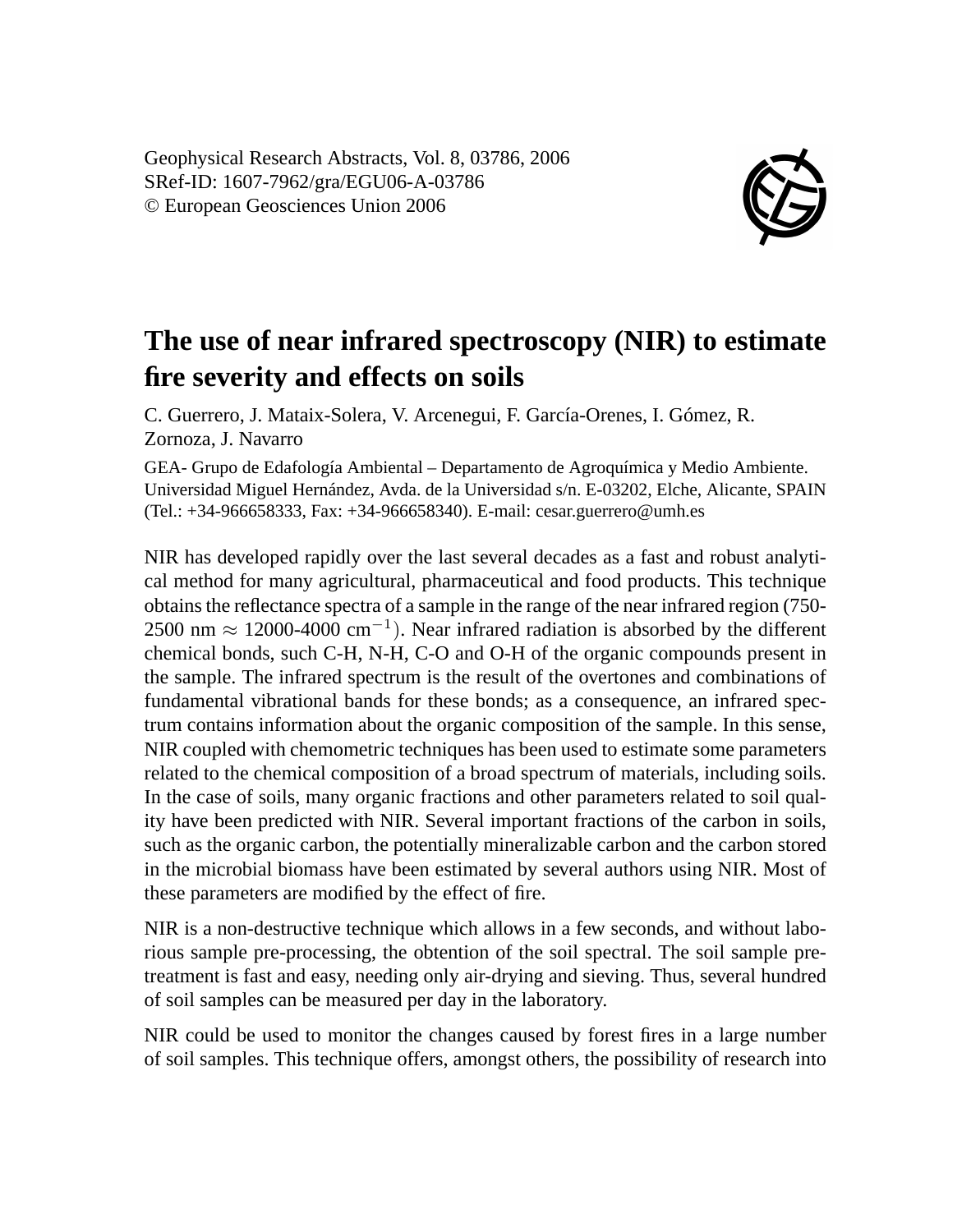Geophysical Research Abstracts, Vol. 8, 03786, 2006 SRef-ID: 1607-7962/gra/EGU06-A-03786 © European Geosciences Union 2006



## **The use of near infrared spectroscopy (NIR) to estimate fire severity and effects on soils**

C. Guerrero, J. Mataix-Solera, V. Arcenegui, F. García-Orenes, I. Gómez, R. Zornoza, J. Navarro

GEA- Grupo de Edafología Ambiental – Departamento de Agroquímica y Medio Ambiente. Universidad Miguel Hernández, Avda. de la Universidad s/n. E-03202, Elche, Alicante, SPAIN (Tel.: +34-966658333, Fax: +34-966658340). E-mail: cesar.guerrero@umh.es

NIR has developed rapidly over the last several decades as a fast and robust analytical method for many agricultural, pharmaceutical and food products. This technique obtains the reflectance spectra of a sample in the range of the near infrared region (750- 2500 nm  $\approx$  12000-4000 cm<sup>-1</sup>). Near infrared radiation is absorbed by the different chemical bonds, such C-H, N-H, C-O and O-H of the organic compounds present in the sample. The infrared spectrum is the result of the overtones and combinations of fundamental vibrational bands for these bonds; as a consequence, an infrared spectrum contains information about the organic composition of the sample. In this sense, NIR coupled with chemometric techniques has been used to estimate some parameters related to the chemical composition of a broad spectrum of materials, including soils. In the case of soils, many organic fractions and other parameters related to soil quality have been predicted with NIR. Several important fractions of the carbon in soils, such as the organic carbon, the potentially mineralizable carbon and the carbon stored in the microbial biomass have been estimated by several authors using NIR. Most of these parameters are modified by the effect of fire.

NIR is a non-destructive technique which allows in a few seconds, and without laborious sample pre-processing, the obtention of the soil spectral. The soil sample pretreatment is fast and easy, needing only air-drying and sieving. Thus, several hundred of soil samples can be measured per day in the laboratory.

NIR could be used to monitor the changes caused by forest fires in a large number of soil samples. This technique offers, amongst others, the possibility of research into